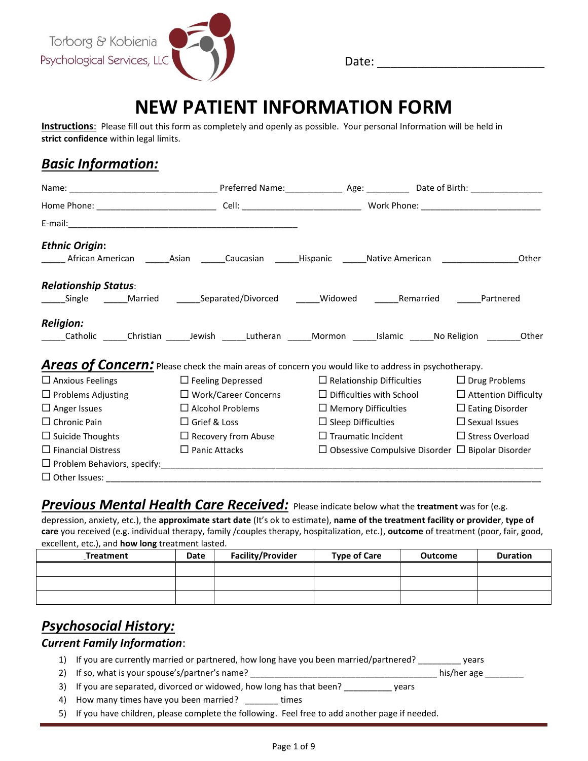

Date: \_\_\_\_\_\_\_\_\_\_\_\_\_\_\_\_\_\_\_\_\_\_\_\_\_

# **NEW PATIENT INFORMATION FORM**

**Instructions**: Please fill out this form as completely and openly as possible. Your personal Information will be held in **strict confidence** within legal limits.

### *Basic Information:*

| <b>Ethnic Origin:</b>                                                                                            |                             |                           |                                                              |                             |
|------------------------------------------------------------------------------------------------------------------|-----------------------------|---------------------------|--------------------------------------------------------------|-----------------------------|
| ________ African American ________Asian ________Caucasian _______Hispanic _______Native American _____________   |                             |                           |                                                              | Other                       |
| <b>Relationship Status:</b>                                                                                      |                             |                           |                                                              |                             |
| ______Single  ______Married  ______Separated/Divorced  ______Widowed  ______Remarried  ______Partnered           |                             |                           |                                                              |                             |
| <b>Religion:</b>                                                                                                 |                             |                           |                                                              |                             |
| Catholic ______Christian _______Jewish ______Lutheran ______Mormon ______Islamic ______No Religion ________Other |                             |                           |                                                              |                             |
| Areas of Concern: Please check the main areas of concern you would like to address in psychotherapy.             |                             |                           |                                                              |                             |
| $\Box$ Anxious Feelings                                                                                          | $\Box$ Feeling Depressed    |                           | $\Box$ Relationship Difficulties                             | $\Box$ Drug Problems        |
| $\Box$ Problems Adjusting                                                                                        | $\Box$ Work/Career Concerns |                           | $\Box$ Difficulties with School                              | $\Box$ Attention Difficulty |
| $\Box$ Anger Issues                                                                                              | $\Box$ Alcohol Problems     |                           | $\Box$ Memory Difficulties                                   | $\Box$ Eating Disorder      |
| $\Box$ Chronic Pain                                                                                              | $\Box$ Grief & Loss         |                           | $\Box$ Sleep Difficulties                                    | $\Box$ Sexual Issues        |
| $\Box$ Suicide Thoughts                                                                                          | $\Box$ Recovery from Abuse  | $\Box$ Traumatic Incident |                                                              | $\Box$ Stress Overload      |
| $\Box$ Financial Distress                                                                                        | $\Box$ Panic Attacks        |                           | $\Box$ Obsessive Compulsive Disorder $\Box$ Bipolar Disorder |                             |
|                                                                                                                  |                             |                           |                                                              |                             |
|                                                                                                                  |                             |                           |                                                              |                             |

#### **Previous Mental Health Care Received:** Please indicate below what the treatment was for (e.g.

depression, anxiety, etc.), the **approximate start date** (It's ok to estimate), **name of the treatment facility or provider**, **type of care** you received (e.g. individual therapy, family /couples therapy, hospitalization, etc.), **outcome** of treatment (poor, fair, good, excellent, etc.), and **how long** treatment lasted.

| Treatment | Date | <b>Facility/Provider</b> | <b>Type of Care</b> | <b>Outcome</b> | <b>Duration</b> |
|-----------|------|--------------------------|---------------------|----------------|-----------------|
|           |      |                          |                     |                |                 |
|           |      |                          |                     |                |                 |
|           |      |                          |                     |                |                 |

# *Psychosocial History:*

#### *Current Family Information*:

- 1) If you are currently married or partnered, how long have you been married/partnered? \_\_\_\_\_\_\_\_\_ years
- 2) If so, what is your spouse's/partner's name? \_\_\_\_\_\_\_\_\_\_\_\_\_\_\_\_\_\_\_\_\_\_\_\_\_\_\_\_\_\_\_\_\_\_\_\_\_\_\_ his/her age \_\_\_\_\_\_\_\_
- 3) If you are separated, divorced or widowed, how long has that been? \_\_\_\_\_\_\_\_\_\_\_ years
- 4) How many times have you been married? \_\_\_\_\_\_ times
- 5) If you have children, please complete the following. Feel free to add another page if needed.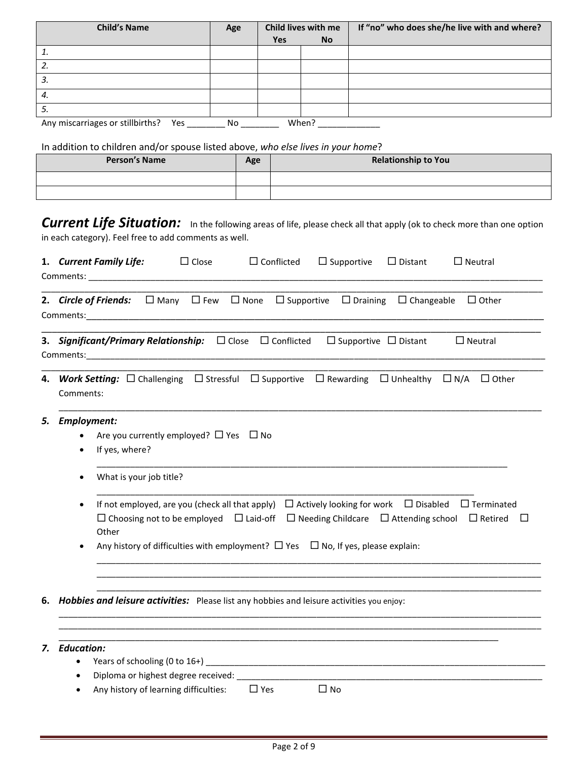| <b>Child's Name</b>                            | Age |            | Child lives with me | If "no" who does she/he live with and where? |
|------------------------------------------------|-----|------------|---------------------|----------------------------------------------|
|                                                |     | <b>Yes</b> | <b>No</b>           |                                              |
| i.                                             |     |            |                     |                                              |
| 2.                                             |     |            |                     |                                              |
| 3.                                             |     |            |                     |                                              |
| 4.                                             |     |            |                     |                                              |
| 5.                                             |     |            |                     |                                              |
| Any miscarriages or stillbirths?<br><b>Yes</b> | No. |            | When?               |                                              |

In addition to children and/or spouse listed above, *who else lives in your home*?

| <b>Person's Name</b> | Age | <b>Relationship to You</b> |
|----------------------|-----|----------------------------|
|                      |     |                            |
|                      |     |                            |

**Current Life Situation:** In the following areas of life, please check all that apply (ok to check more than one option in each category). Feel free to add comments as well.

|    | 1. Current Family Life:<br>$\Box$ Close<br>$\Box$ Conflicted<br>$\Box$ Supportive<br>$\Box$ Distant<br>$\Box$ Neutral                                                                                                                                                                                                                                                           |
|----|---------------------------------------------------------------------------------------------------------------------------------------------------------------------------------------------------------------------------------------------------------------------------------------------------------------------------------------------------------------------------------|
|    | $\Box$ Many $\Box$ Few $\Box$ None<br>$\Box$ Supportive<br>$\Box$ Draining<br>$\Box$ Changeable<br>2. Circle of Friends:<br>$\Box$ Other<br><b>Comments:</b> the comments of the comments of the comments of the comments of the comments of the comments of the comments of the comments of the comments of the comments of the comments of the comments of the comments of th |
|    | <b>3. Significant/Primary Relationship:</b> □ Close □ Conflicted<br>$\Box$ Supportive $\Box$ Distant<br>$\Box$ Neutral                                                                                                                                                                                                                                                          |
| 4. | $\Box$ N/A<br><b>Work Setting:</b> $\Box$ Challenging $\Box$ Stressful $\Box$ Supportive $\Box$ Rewarding<br>$\square$ Unhealthy<br>$\Box$ Other<br>Comments:                                                                                                                                                                                                                   |
| 5. | <b>Employment:</b><br>Are you currently employed? $\Box$ Yes $\Box$ No<br>If yes, where?<br>What is your job title?                                                                                                                                                                                                                                                             |
|    | If not employed, are you (check all that apply) $\Box$ Actively looking for work $\Box$ Disabled<br>$\Box$ Terminated<br>$\Box$ Choosing not to be employed $\Box$ Laid-off $\Box$ Needing Childcare $\Box$ Attending school $\Box$ Retired<br>$\Box$<br>Other<br>Any history of difficulties with employment? $\Box$ Yes $\Box$ No, If yes, please explain:                    |
|    | 6. Hobbies and leisure activities: Please list any hobbies and leisure activities you enjoy:                                                                                                                                                                                                                                                                                    |
| 7. | <b>Education:</b><br>Diploma or highest degree received: ______<br>$\bullet$<br>Any history of learning difficulties:<br>$\Box$ Yes<br>$\Box$ No                                                                                                                                                                                                                                |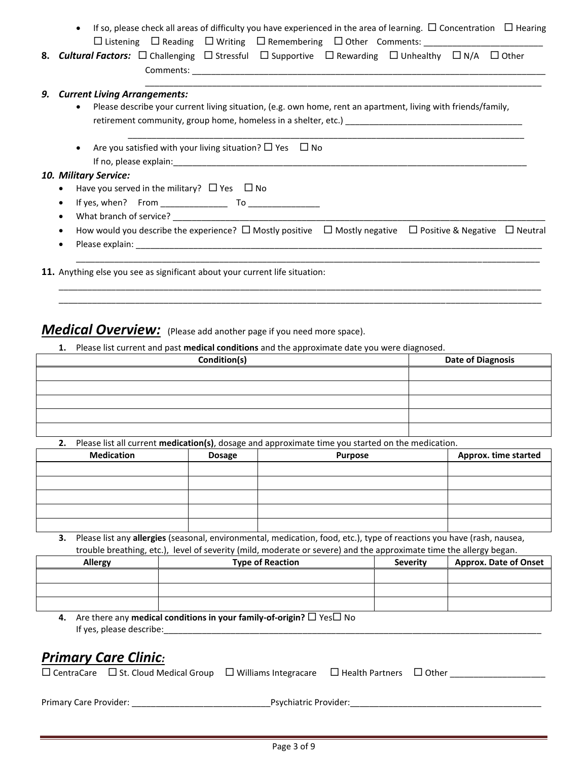| If so, please check all areas of difficulty you have experienced in the area of learning. $\Box$ Concentration $\Box$ Hearing<br>$\bullet$  |
|---------------------------------------------------------------------------------------------------------------------------------------------|
| $\square$ Listening $\square$ Reading $\square$ Writing $\square$ Remembering $\square$ Other Comments:                                     |
| <b>8. Cultural Factors:</b> $\Box$ Challenging $\Box$ Stressful $\Box$ Supportive $\Box$ Rewarding $\Box$ Unhealthy $\Box$ N/A $\Box$ Other |
|                                                                                                                                             |
| 9. Current Living Arrangements:                                                                                                             |
| Please describe your current living situation, (e.g. own home, rent an apartment, living with friends/family,                               |
|                                                                                                                                             |
|                                                                                                                                             |
| Are you satisfied with your living situation? $\square$ Yes $\square$ No                                                                    |
|                                                                                                                                             |
| 10. Military Service:                                                                                                                       |
| Have you served in the military? $\Box$ Yes $\Box$ No<br>$\bullet$                                                                          |
| $\bullet$                                                                                                                                   |
| What branch of service? What branch of service?<br>$\bullet$                                                                                |
| How would you describe the experience? $\Box$ Mostly positive $\Box$ Mostly negative $\Box$ Positive & Negative $\Box$ Neutral<br>$\bullet$ |
| $\bullet$                                                                                                                                   |
|                                                                                                                                             |
| <b>11.</b> Anything else you see as significant about your current life situation:                                                          |

#### **Medical Overview:** (Please add another page if you need more space).

**1.** Please list current and past **medical conditions** and the approximate date you were diagnosed.

| Condition(s) | <b>Date of Diagnosis</b> |
|--------------|--------------------------|
|              |                          |
|              |                          |
|              |                          |
|              |                          |
|              |                          |

\_\_\_\_\_\_\_\_\_\_\_\_\_\_\_\_\_\_\_\_\_\_\_\_\_\_\_\_\_\_\_\_\_\_\_\_\_\_\_\_\_\_\_\_\_\_\_\_\_\_\_\_\_\_\_\_\_\_\_\_\_\_\_\_\_\_\_\_\_\_\_\_\_\_\_\_\_\_\_\_\_\_\_\_\_\_\_\_\_\_\_\_\_\_\_\_\_\_\_\_\_ \_\_\_\_\_\_\_\_\_\_\_\_\_\_\_\_\_\_\_\_\_\_\_\_\_\_\_\_\_\_\_\_\_\_\_\_\_\_\_\_\_\_\_\_\_\_\_\_\_\_\_\_\_\_\_\_\_\_\_\_\_\_\_\_\_\_\_\_\_\_\_\_\_\_\_\_\_\_\_\_\_\_\_\_\_\_\_\_\_\_\_\_\_\_\_\_\_\_\_\_\_

**2.** Please list all current **medication(s)**, dosage and approximate time you started on the medication.

| <b>Medication</b> | <b>Dosage</b> | <b>Purpose</b> | Approx. time started |
|-------------------|---------------|----------------|----------------------|
|                   |               |                |                      |
|                   |               |                |                      |
|                   |               |                |                      |
|                   |               |                |                      |
|                   |               |                |                      |

**3.** Please list any **allergies** (seasonal, environmental, medication, food, etc.), type of reactions you have (rash, nausea, trouble breathing, etc.), level of severity (mild, moderate or severe) and the approximate time the allergy began.

| <b>Allergy</b> | <b>Type of Reaction</b> | <b>Severity</b> | <b>Approx. Date of Onset</b> |
|----------------|-------------------------|-----------------|------------------------------|
|                |                         |                 |                              |
|                |                         |                 |                              |
|                |                         |                 |                              |
|                |                         |                 |                              |

**4.** Are there any **medical conditions in your family-of-origin?** □ Yes□ No If yes, please describe:\_\_\_\_\_\_\_\_\_\_\_\_\_\_\_\_\_\_\_\_\_\_\_\_\_\_\_\_\_\_\_\_\_\_\_\_\_\_\_\_\_\_\_\_\_\_\_\_\_\_\_\_\_\_\_\_\_\_\_\_\_\_\_\_\_\_\_\_\_\_\_\_\_\_\_\_\_\_\_

### *Primary Care Clinic:*

|                        | $\Box$ CentraCare $\Box$ St. Cloud Medical Group $\Box$ Williams Integracare |                              | $\Box$ Health Partners $\Box$ Other |  |
|------------------------|------------------------------------------------------------------------------|------------------------------|-------------------------------------|--|
|                        |                                                                              |                              |                                     |  |
| Primary Care Provider: |                                                                              | <b>Psychiatric Provider:</b> |                                     |  |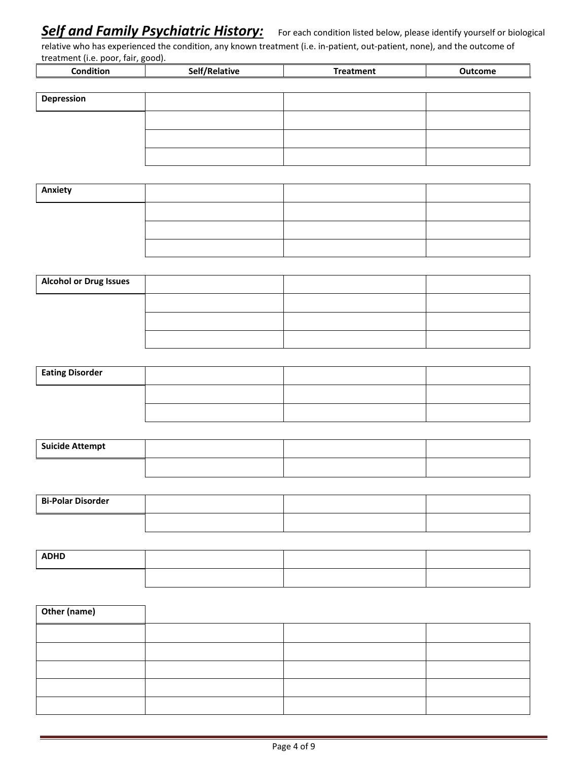# **Self and Family Psychiatric History:** For each condition listed below, please identify yourself or biological

relative who has experienced the condition, any known treatment (i.e. in-patient, out-patient, none), and the outcome of treatment (i.e. poor, fair, good).

| -------------------<br>-------<br>$\cdots$ , $\cdots$ |          |   |         |  |
|-------------------------------------------------------|----------|---|---------|--|
| :ondition                                             | .<br>∵юь | . | Outcome |  |
|                                                       |          |   |         |  |

| Depression |  |  |
|------------|--|--|
|            |  |  |
|            |  |  |
|            |  |  |

| Anxiety |  |  |
|---------|--|--|
|         |  |  |
|         |  |  |
|         |  |  |

| <b>Alcohol or Drug Issues</b> |  |  |
|-------------------------------|--|--|
|                               |  |  |
|                               |  |  |
|                               |  |  |

| <b>Eating Disorder</b> |  |  |
|------------------------|--|--|
|                        |  |  |
|                        |  |  |

| <b>Suicide Attempt</b> |  |  |
|------------------------|--|--|
|                        |  |  |

| <b>Bi-Polar Disorder</b> |  |  |
|--------------------------|--|--|
|                          |  |  |

| <b>ADHD</b> |  |  |
|-------------|--|--|
|             |  |  |

| Other (name) |  |  |
|--------------|--|--|
|              |  |  |
|              |  |  |
|              |  |  |
|              |  |  |
|              |  |  |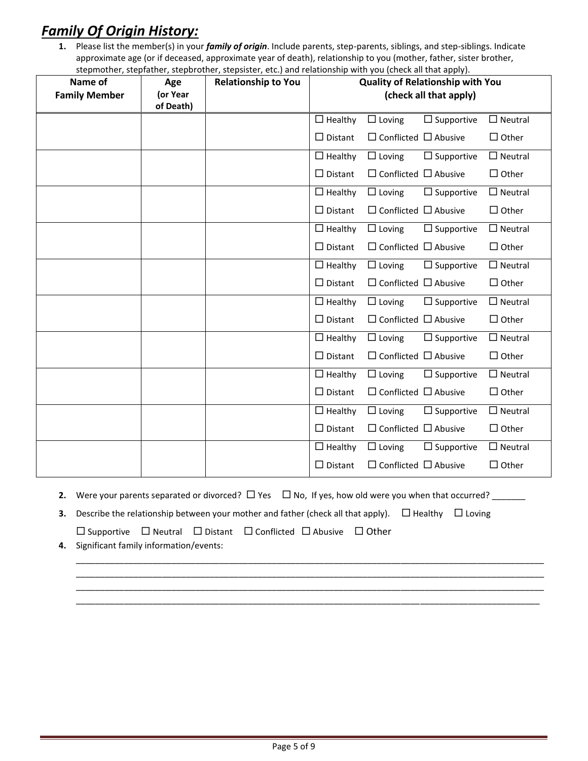# *Family Of Origin History:*

**1.** Please list the member(s) in your *family of origin*. Include parents, step-parents, siblings, and step-siblings. Indicate approximate age (or if deceased, approximate year of death), relationship to you (mother, father, sister brother, stepmother, stepfather, stepbrother, stepsister, etc.) and relationship with you (check all that apply).

| Name of<br><b>Family Member</b> | Age<br>(or Year<br>of Death) | stephrotner, stephatrier, stepprotrier, stepsister, etc.) and relationship with you (check all that apply).<br><b>Relationship to You</b> | <b>Quality of Relationship with You</b><br>(check all that apply) |                                  |                   |                |
|---------------------------------|------------------------------|-------------------------------------------------------------------------------------------------------------------------------------------|-------------------------------------------------------------------|----------------------------------|-------------------|----------------|
|                                 |                              |                                                                                                                                           | $\Box$ Healthy                                                    | $\Box$ Loving                    | $\Box$ Supportive | $\Box$ Neutral |
|                                 |                              |                                                                                                                                           | $\Box$ Distant                                                    | $\Box$ Conflicted $\Box$ Abusive |                   | $\Box$ Other   |
|                                 |                              |                                                                                                                                           | $\Box$ Healthy                                                    | $\Box$ Loving                    | $\Box$ Supportive | $\Box$ Neutral |
|                                 |                              |                                                                                                                                           | $\Box$ Distant                                                    | $\Box$ Conflicted $\Box$ Abusive |                   | $\Box$ Other   |
|                                 |                              |                                                                                                                                           | $\Box$ Healthy                                                    | $\Box$ Loving                    | $\Box$ Supportive | $\Box$ Neutral |
|                                 |                              |                                                                                                                                           | $\Box$ Distant                                                    | $\Box$ Conflicted $\Box$ Abusive |                   | $\Box$ Other   |
|                                 |                              |                                                                                                                                           | $\Box$ Healthy                                                    | $\Box$ Loving                    | $\Box$ Supportive | $\Box$ Neutral |
|                                 |                              |                                                                                                                                           | $\Box$ Distant                                                    | $\Box$ Conflicted $\Box$ Abusive |                   | $\Box$ Other   |
|                                 |                              |                                                                                                                                           | $\Box$ Healthy                                                    | $\Box$ Loving                    | $\Box$ Supportive | $\Box$ Neutral |
|                                 |                              |                                                                                                                                           | $\Box$ Distant                                                    | $\Box$ Conflicted $\Box$ Abusive |                   | $\Box$ Other   |
|                                 |                              |                                                                                                                                           | $\Box$ Healthy                                                    | $\Box$ Loving                    | $\Box$ Supportive | $\Box$ Neutral |
|                                 |                              |                                                                                                                                           | $\Box$ Distant                                                    | $\Box$ Conflicted $\Box$ Abusive |                   | $\Box$ Other   |
|                                 |                              |                                                                                                                                           | $\Box$ Healthy                                                    | $\Box$ Loving                    | $\Box$ Supportive | $\Box$ Neutral |
|                                 |                              |                                                                                                                                           | $\Box$ Distant                                                    | $\Box$ Conflicted $\Box$ Abusive |                   | $\Box$ Other   |
|                                 |                              |                                                                                                                                           | $\Box$ Healthy                                                    | $\Box$ Loving                    | $\Box$ Supportive | $\Box$ Neutral |
|                                 |                              |                                                                                                                                           | $\Box$ Distant                                                    | $\Box$ Conflicted $\Box$ Abusive |                   | $\Box$ Other   |
|                                 |                              |                                                                                                                                           | $\Box$ Healthy                                                    | $\Box$ Loving                    | $\Box$ Supportive | $\Box$ Neutral |
|                                 |                              |                                                                                                                                           | $\Box$ Distant                                                    | $\Box$ Conflicted $\Box$ Abusive |                   | $\Box$ Other   |
|                                 |                              |                                                                                                                                           | $\Box$ Healthy                                                    | $\Box$ Loving                    | $\Box$ Supportive | $\Box$ Neutral |
|                                 |                              |                                                                                                                                           | $\Box$ Distant                                                    | $\Box$ Conflicted $\Box$ Abusive |                   | $\Box$ Other   |

- **2.** Were your parents separated or divorced?  $\Box$  Yes  $\Box$  No, If yes, how old were you when that occurred?  $\Box$
- **3.** Describe the relationship between your mother and father (check all that apply).  $\Box$  Healthy  $\Box$  Loving  $\square$  Supportive  $\square$  Neutral  $\square$  Distant  $\square$  Conflicted  $\square$  Abusive  $\square$  Other

\_\_\_\_\_\_\_\_\_\_\_\_\_\_\_\_\_\_\_\_\_\_\_\_\_\_\_\_\_\_\_\_\_\_\_\_\_\_\_\_\_\_\_\_\_\_\_\_\_\_\_\_\_\_\_\_\_\_\_\_\_\_\_\_\_\_\_\_\_\_\_\_\_\_\_\_\_\_\_\_\_\_\_\_\_\_\_\_\_\_\_\_\_\_\_\_\_\_ \_\_\_\_\_\_\_\_\_\_\_\_\_\_\_\_\_\_\_\_\_\_\_\_\_\_\_\_\_\_\_\_\_\_\_\_\_\_\_\_\_\_\_\_\_\_\_\_\_\_\_\_\_\_\_\_\_\_\_\_\_\_\_\_\_\_\_\_\_\_\_\_\_\_\_\_\_\_\_\_\_\_\_\_\_\_\_\_\_\_\_\_\_\_\_\_\_\_ \_\_\_\_\_\_\_\_\_\_\_\_\_\_\_\_\_\_\_\_\_\_\_\_\_\_\_\_\_\_\_\_\_\_\_\_\_\_\_\_\_\_\_\_\_\_\_\_\_\_\_\_\_\_\_\_\_\_\_\_\_\_\_\_\_\_\_\_\_\_\_\_\_\_\_\_\_\_\_\_\_\_\_\_\_\_\_\_\_\_\_\_\_\_\_\_\_\_ \_\_\_\_\_\_\_\_\_\_\_\_\_\_\_\_\_\_\_\_\_\_\_\_\_\_\_\_\_\_\_\_\_\_\_\_\_\_\_\_\_\_\_\_\_\_\_\_\_\_\_\_\_\_\_\_\_\_\_\_\_\_\_\_\_\_\_\_\_\_\_\_\_\_\_\_\_\_\_\_\_\_\_\_\_\_\_\_\_\_\_\_\_\_\_\_\_

**4.** Significant family information/events: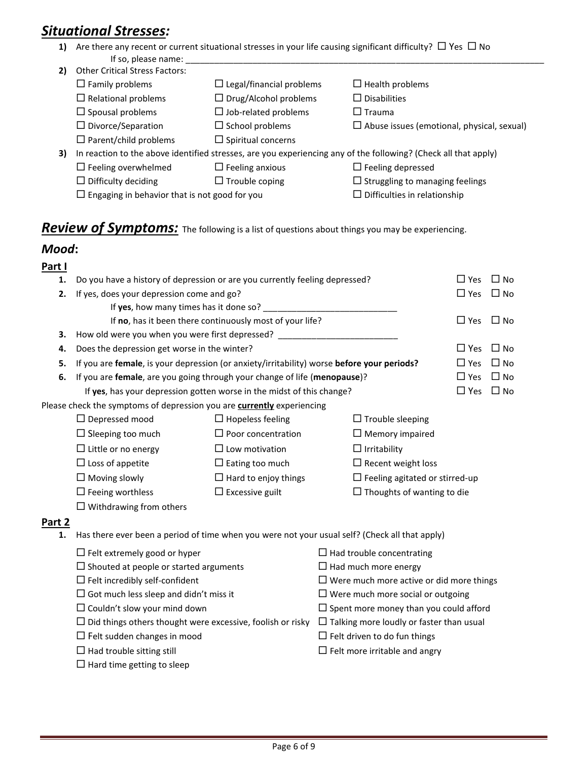# *Situational Stresses:*

**1)** Are there any recent or current situational stresses in your life causing significant difficulty?  $\Box$  Yes  $\Box$  No If so, please name:

| 2) | <b>Other Critical Stress Factors:</b>                |                                 |                                                                                                                 |
|----|------------------------------------------------------|---------------------------------|-----------------------------------------------------------------------------------------------------------------|
|    | $\Box$ Family problems                               | $\Box$ Legal/financial problems | $\Box$ Health problems                                                                                          |
|    | $\Box$ Relational problems                           | $\Box$ Drug/Alcohol problems    | $\Box$ Disabilities                                                                                             |
|    | $\Box$ Spousal problems                              | $\Box$ Job-related problems     | $\square$ Trauma                                                                                                |
|    | $\Box$ Divorce/Separation                            | $\Box$ School problems          | $\Box$ Abuse issues (emotional, physical, sexual)                                                               |
|    | $\Box$ Parent/child problems                         | $\Box$ Spiritual concerns       |                                                                                                                 |
| 3) |                                                      |                                 | In reaction to the above identified stresses, are you experiencing any of the following? (Check all that apply) |
|    | $\Box$ Feeling overwhelmed                           | $\Box$ Feeling anxious          | $\Box$ Feeling depressed                                                                                        |
|    | $\Box$ Difficulty deciding                           | $\Box$ Trouble coping           | $\Box$ Struggling to managing feelings                                                                          |
|    | $\Box$ Engaging in behavior that is not good for you |                                 | $\Box$ Difficulties in relationship                                                                             |

### **Review of Symptoms:** The following is a list of questions about things you may be experiencing.

#### *Mood***:**

|--|

| 1.     | Do you have a history of depression or are you currently feeling depressed?                    |                                                          |                                                 | $\Box$ Yes | $\square$ No |  |
|--------|------------------------------------------------------------------------------------------------|----------------------------------------------------------|-------------------------------------------------|------------|--------------|--|
| 2.     | If yes, does your depression come and go?                                                      |                                                          |                                                 | $\Box$ Yes | $\Box$ No    |  |
|        | If yes, how many times has it done so? ______                                                  |                                                          |                                                 |            |              |  |
|        |                                                                                                | If no, has it been there continuously most of your life? |                                                 | $\Box$ Yes | $\Box$ No    |  |
| 3.     | How old were you when you were first depressed? ________                                       |                                                          |                                                 |            |              |  |
| 4.     | Does the depression get worse in the winter?                                                   |                                                          |                                                 | $\Box$ Yes | $\Box$ No    |  |
| 5.     | If you are female, is your depression (or anxiety/irritability) worse before your periods?     |                                                          |                                                 | $\Box$ Yes | $\Box$ No    |  |
| 6.     | If you are female, are you going through your change of life (menopause)?                      |                                                          |                                                 | $\Box$ Yes | $\square$ No |  |
|        | If yes, has your depression gotten worse in the midst of this change?                          |                                                          |                                                 | $\Box$ Yes | $\Box$ No    |  |
|        | Please check the symptoms of depression you are currently experiencing                         |                                                          |                                                 |            |              |  |
|        | $\square$ Depressed mood                                                                       | $\Box$ Hopeless feeling                                  | $\Box$ Trouble sleeping                         |            |              |  |
|        | $\Box$ Sleeping too much                                                                       | $\Box$ Poor concentration                                | $\Box$ Memory impaired                          |            |              |  |
|        | $\Box$ Little or no energy<br>$\Box$ Low motivation                                            |                                                          | $\Box$ Irritability                             |            |              |  |
|        | $\Box$ Loss of appetite                                                                        | $\Box$ Recent weight loss                                |                                                 |            |              |  |
|        | $\Box$ Moving slowly<br>$\Box$ Hard to enjoy things                                            |                                                          | $\Box$ Feeling agitated or stirred-up           |            |              |  |
|        | $\Box$ Feeing worthless<br>$\Box$ Excessive guilt<br>$\Box$ Thoughts of wanting to die         |                                                          |                                                 |            |              |  |
|        | $\Box$ Withdrawing from others                                                                 |                                                          |                                                 |            |              |  |
| Part 2 |                                                                                                |                                                          |                                                 |            |              |  |
| 1.     | Has there ever been a period of time when you were not your usual self? (Check all that apply) |                                                          |                                                 |            |              |  |
|        | $\Box$ Felt extremely good or hyper                                                            |                                                          | $\Box$ Had trouble concentrating                |            |              |  |
|        | $\Box$ Shouted at people or started arguments                                                  |                                                          | $\Box$ Had much more energy                     |            |              |  |
|        | $\Box$ Felt incredibly self-confident                                                          |                                                          | $\Box$ Were much more active or did more things |            |              |  |
|        | $\Box$ Got much less sleep and didn't miss it                                                  |                                                          | $\Box$ Were much more social or outgoing        |            |              |  |
|        | $\Box$ Couldn't slow your mind down                                                            |                                                          | $\Box$ Spent more money than you could afford   |            |              |  |
|        | $\Box$ Did things others thought were excessive, foolish or risky                              |                                                          | $\Box$ Talking more loudly or faster than usual |            |              |  |
|        | $\Box$ Felt sudden changes in mood                                                             |                                                          | $\Box$ Felt driven to do fun things             |            |              |  |
|        | $\Box$ Had trouble sitting still                                                               |                                                          | $\Box$ Felt more irritable and angry            |            |              |  |
|        | $\Box$ Hard time getting to sleep                                                              |                                                          |                                                 |            |              |  |
|        |                                                                                                |                                                          |                                                 |            |              |  |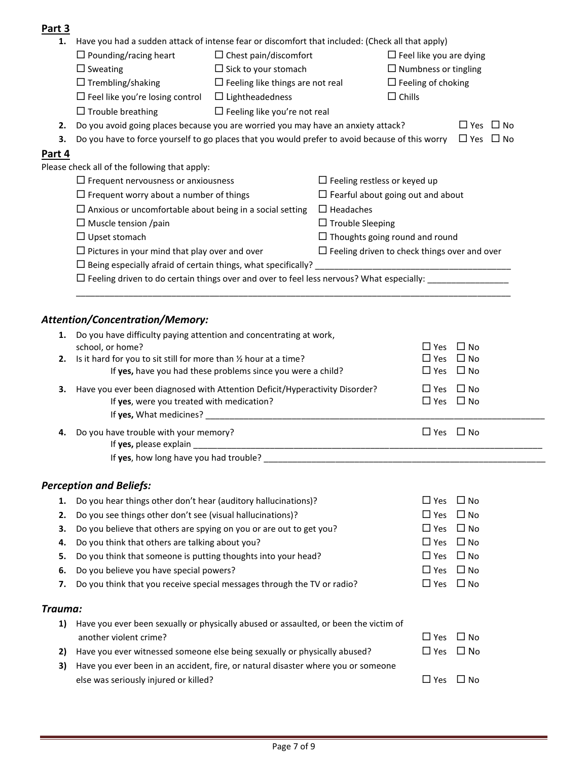#### **Part 3**

| 1.      | Have you had a sudden attack of intense fear or discomfort that included: (Check all that apply)                         |                                                             |                                                     |                                |                        |
|---------|--------------------------------------------------------------------------------------------------------------------------|-------------------------------------------------------------|-----------------------------------------------------|--------------------------------|------------------------|
|         | $\Box$ Pounding/racing heart                                                                                             | $\Box$ Chest pain/discomfort                                |                                                     | $\Box$ Feel like you are dying |                        |
|         | $\Box$ Sweating                                                                                                          | $\Box$ Sick to your stomach                                 |                                                     | $\Box$ Numbness or tingling    |                        |
|         | $\Box$ Trembling/shaking                                                                                                 | $\Box$ Feeling like things are not real                     |                                                     | $\Box$ Feeling of choking      |                        |
|         | $\Box$ Feel like you're losing control                                                                                   | $\Box$ Lightheadedness                                      |                                                     | $\Box$ Chills                  |                        |
|         | $\Box$ Trouble breathing                                                                                                 | $\Box$ Feeling like you're not real                         |                                                     |                                |                        |
| 2.      | Do you avoid going places because you are worried you may have an anxiety attack?                                        |                                                             |                                                     |                                | $\Box$ Yes $\Box$ No   |
| 3.      | Do you have to force yourself to go places that you would prefer to avoid because of this worry                          |                                                             |                                                     |                                | $\Box$ Yes $\Box$ No   |
| Part 4  |                                                                                                                          |                                                             |                                                     |                                |                        |
|         | Please check all of the following that apply:                                                                            |                                                             |                                                     |                                |                        |
|         | $\Box$ Frequent nervousness or anxiousness                                                                               |                                                             | $\Box$ Feeling restless or keyed up                 |                                |                        |
|         | $\Box$ Frequent worry about a number of things                                                                           |                                                             | $\Box$ Fearful about going out and about            |                                |                        |
|         | $\Box$ Anxious or uncomfortable about being in a social setting                                                          |                                                             | $\Box$ Headaches                                    |                                |                        |
|         | $\Box$ Muscle tension /pain                                                                                              |                                                             | $\Box$ Trouble Sleeping                             |                                |                        |
|         | $\Box$ Upset stomach                                                                                                     |                                                             | $\Box$ Thoughts going round and round               |                                |                        |
|         | $\Box$ Pictures in your mind that play over and over                                                                     |                                                             | $\Box$ Feeling driven to check things over and over |                                |                        |
|         |                                                                                                                          |                                                             |                                                     |                                |                        |
|         | $\Box$ Feeling driven to do certain things over and over to feel less nervous? What especially: ___________              |                                                             |                                                     |                                |                        |
|         |                                                                                                                          |                                                             |                                                     |                                |                        |
|         |                                                                                                                          |                                                             |                                                     |                                |                        |
|         | <b>Attention/Concentration/Memory:</b>                                                                                   |                                                             |                                                     |                                |                        |
| 1.      | Do you have difficulty paying attention and concentrating at work,                                                       |                                                             |                                                     |                                |                        |
| 2.      | school, or home?<br>Is it hard for you to sit still for more than 1/2 hour at a time?                                    |                                                             |                                                     | $\Box$ Yes<br>$\square$ Yes    | $\Box$ No<br>$\Box$ No |
|         |                                                                                                                          | If yes, have you had these problems since you were a child? |                                                     |                                | $\Box$ Yes $\Box$ No   |
|         |                                                                                                                          |                                                             |                                                     |                                | $\Box$ Yes $\Box$ No   |
| з.      | Have you ever been diagnosed with Attention Deficit/Hyperactivity Disorder?<br>If yes, were you treated with medication? |                                                             |                                                     |                                | $\Box$ Yes $\Box$ No   |
|         |                                                                                                                          |                                                             |                                                     |                                |                        |
|         | Do you have trouble with your memory?                                                                                    |                                                             |                                                     | $\Box$ Yes $\Box$ No           |                        |
| 4.      | If yes, please explain                                                                                                   |                                                             |                                                     |                                |                        |
|         | If yes, how long have you had trouble?                                                                                   |                                                             |                                                     |                                |                        |
|         |                                                                                                                          |                                                             |                                                     |                                |                        |
|         | <b>Perception and Beliefs:</b>                                                                                           |                                                             |                                                     |                                |                        |
| 1.      | Do you hear things other don't hear (auditory hallucinations)?                                                           |                                                             |                                                     | $\Box$ Yes                     | $\Box$ No              |
| 2.      | Do you see things other don't see (visual hallucinations)?                                                               |                                                             |                                                     | $\square$ Yes                  | $\Box$ No              |
| 3.      | Do you believe that others are spying on you or are out to get you?                                                      |                                                             |                                                     | $\Box$ Yes                     | $\Box$ No              |
| 4.      | Do you think that others are talking about you?                                                                          |                                                             |                                                     | $\square$ Yes                  | $\Box$ No              |
| 5.      | Do you think that someone is putting thoughts into your head?                                                            |                                                             |                                                     | $\Box$ Yes                     | $\Box$ No              |
| 6.      | Do you believe you have special powers?                                                                                  |                                                             |                                                     | $\Box$ Yes                     | $\Box$ No              |
| 7.      | Do you think that you receive special messages through the TV or radio?                                                  |                                                             |                                                     |                                | $\Box$ Yes $\Box$ No   |
|         |                                                                                                                          |                                                             |                                                     |                                |                        |
| Trauma: |                                                                                                                          |                                                             |                                                     |                                |                        |
| 1)      | Have you ever been sexually or physically abused or assaulted, or been the victim of                                     |                                                             |                                                     |                                |                        |
|         | another violent crime?                                                                                                   |                                                             |                                                     | $\Box$ Yes                     | $\Box$ No              |
| 2)      | Have you ever witnessed someone else being sexually or physically abused?                                                |                                                             |                                                     | $\Box$ Yes                     | $\Box$ No              |
| 3)      | Have you ever been in an accident, fire, or natural disaster where you or someone                                        |                                                             |                                                     |                                |                        |
|         | else was seriously injured or killed?                                                                                    |                                                             |                                                     |                                | $\Box$ Yes $\Box$ No   |

ä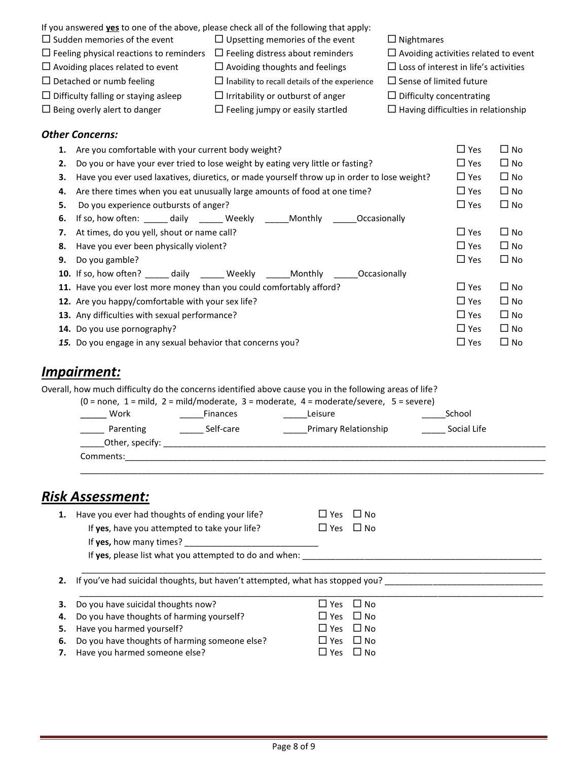| If you answered yes to one of the above, please check all of the following that apply: |                                                      |                                              |
|----------------------------------------------------------------------------------------|------------------------------------------------------|----------------------------------------------|
| $\Box$ Sudden memories of the event                                                    | $\Box$ Upsetting memories of the event               | $\Box$ Nightmares                            |
| $\Box$ Feeling physical reactions to reminders                                         | $\Box$ Feeling distress about reminders              | $\Box$ Avoiding activities related to event  |
| $\Box$ Avoiding places related to event                                                | $\Box$ Avoiding thoughts and feelings                | $\Box$ Loss of interest in life's activities |
| $\Box$ Detached or numb feeling                                                        | $\Box$ Inability to recall details of the experience | $\Box$ Sense of limited future               |

- $\Box$  Difficulty falling or staying asleep  $\Box$  Irritability or outburst of anger  $\Box$  Difficulty concentrating
- 
- $\Box$  Being overly alert to danger  $\Box$  Feeling jumpy or easily startled  $\Box$  Having difficulties in relationship
- 
- 
- 

#### *Other Concerns:*

| $\Box$ No<br>$\Box$ No<br>$\Box$ No |
|-------------------------------------|
|                                     |
|                                     |
|                                     |
| $\Box$ No                           |
|                                     |
| $\Box$ No                           |
| $\Box$ No                           |
| $\Box$ No                           |
|                                     |
| $\Box$ No                           |
| $\square$ No                        |
| $\square$ No                        |
| $\square$ No                        |
| $\square$ No                        |
|                                     |

### *Impairment:*

Overall, how much difficulty do the concerns identified above cause you in the following areas of life?

|           |                                                                                                                | $(0 = none, 1 = mild, 2 = mild/moderate, 3 = moderate, 4 = moderate/severe, 5 = severe)$ |             |
|-----------|----------------------------------------------------------------------------------------------------------------|------------------------------------------------------------------------------------------|-------------|
| Work      | <b>Finances</b>                                                                                                | Leisure                                                                                  | School      |
| Parenting | Self-care                                                                                                      | Primary Relationship                                                                     | Social Life |
|           | Other, specify: the contract of the contract of the contract of the contract of the contract of the contract o |                                                                                          |             |
| Comments: |                                                                                                                |                                                                                          |             |
|           |                                                                                                                |                                                                                          |             |

### *Risk Assessment:*

| 1. | Have you ever had thoughts of ending your life?        | $\Box$ Yes $\Box$ No |
|----|--------------------------------------------------------|----------------------|
|    | If yes, have you attempted to take your life?          | $\Box$ Yes $\Box$ No |
|    | If <b>yes</b> , how many times?                        |                      |
|    | If yes, please list what you attempted to do and when: |                      |

\_\_\_\_\_\_\_\_\_\_\_\_\_\_\_\_\_\_\_\_\_\_\_\_\_\_\_\_\_\_\_\_\_\_\_\_\_\_\_\_\_\_\_\_\_\_\_\_\_\_\_\_\_\_\_\_\_\_\_\_\_\_\_\_\_\_\_\_\_\_\_\_\_\_\_\_\_\_\_\_\_\_\_\_\_\_\_\_\_\_\_\_\_\_\_\_\_ 2. If you've had suicidal thoughts, but haven't attempted, what has stopped you? \_\_\_\_\_\_\_\_\_\_\_\_\_\_\_\_\_\_\_\_\_\_\_\_\_\_\_\_\_\_\_

| <b>3.</b> Do you have suicidal thoughts now?     | $\Box$ Yes $\Box$ No  |  |
|--------------------------------------------------|-----------------------|--|
| 4. Do you have thoughts of harming yourself?     | $\Box$ Yes $\Box$ No  |  |
| 5. Have you harmed yourself?                     | $\Box$ Yes $\Box$ No  |  |
| 6. Do you have thoughts of harming someone else? | $\Box$ Yes $\Box$ No. |  |
| 7. Have you harmed someone else?                 | $\Box$ Yes $\Box$ No. |  |